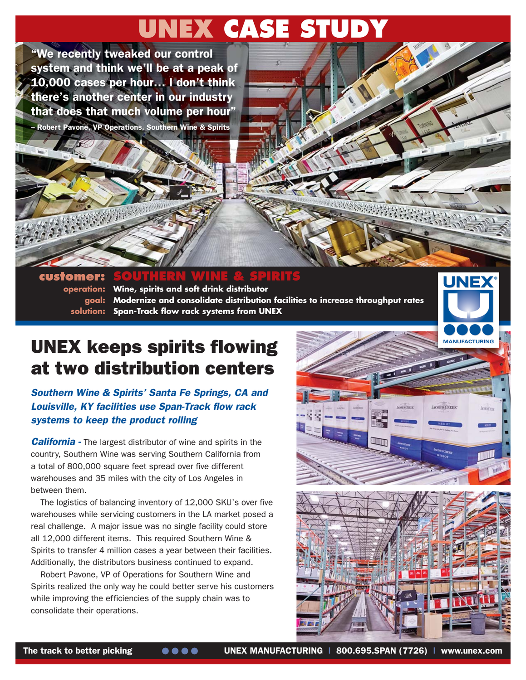## **UNEX CASE STUDY**

"We recently tweaked our control system and think we'll be at a peak of 10,000 cases per hour… I don't think there's another center in our industry that does that much volume per hour"

– Robert Pavone, VP Operations, Southern Wine & Spirits



customer: **operation: Wine, spirits and soft drink distributor goal: Modernize and consolidate distribution facilities to increase throughput rates solution: Span-Track flow rack systems from UNEX**

## UNEX keeps spirits flowing at two distribution centers

Southern Wine & Spirits' Santa Fe Springs, CA and Louisville, KY facilities use Span-Track flow rack systems to keep the product rolling

**California** - The largest distributor of wine and spirits in the country, Southern Wine was serving Southern California from a total of 800,000 square feet spread over five different warehouses and 35 miles with the city of Los Angeles in between them.

The logistics of balancing inventory of 12,000 SKU's over five warehouses while servicing customers in the LA market posed a real challenge. A major issue was no single facility could store all 12,000 different items. This required Southern Wine & Spirits to transfer 4 million cases a year between their facilities. Additionally, the distributors business continued to expand.

Robert Pavone, VP of Operations for Southern Wine and Spirits realized the only way he could better serve his customers while improving the efficiencies of the supply chain was to consolidate their operations.



**UNE**